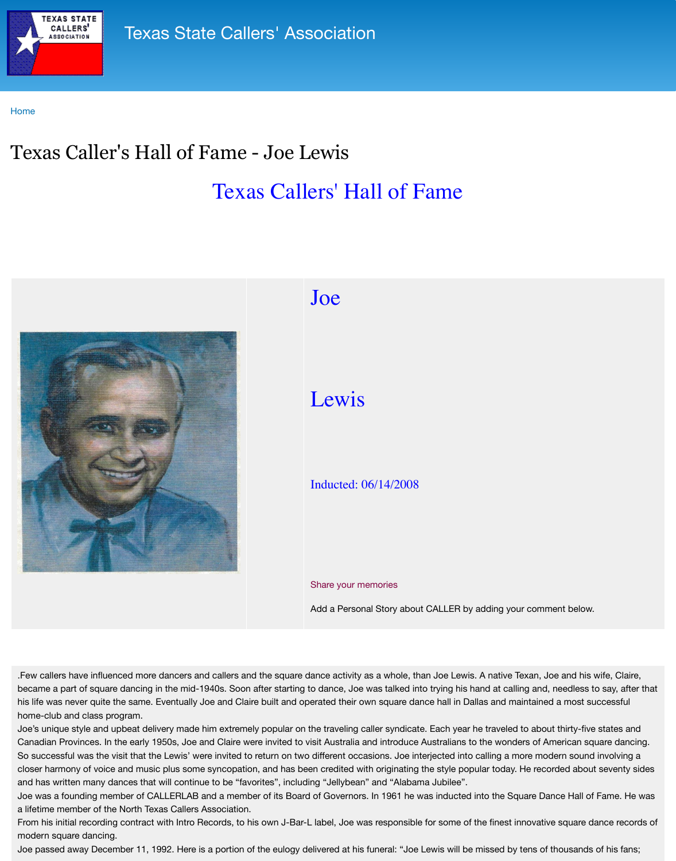

## $\overline{\phantom{a}}$

## Lewis

## Inducted: 06/14/2008

## Share your memories

Add a Personal Story about C

Few callers have influenced more dancers and callers and the square dance activity as a whole, than became a part of square dancing in the mid-1940s. Soon after starting to dance, Joe was talked into his life was never quite the same. Eventually Joe and Claire built and operated their own square dance home-club and class program.

Joe's unique style and upbeat delivery made him extremely popular on the traveling caller syndicate. Canadian Provinces. In the early 1950s, Joe and Claire were invited to visit Australia and introduce Au So successful was the visit that the Lewis' were invited to return on two different occasions. Joe intergent sound intergent and the modern sound intergent and intergent sound intergent and intergent sound interaction soun closer harmony of voice and music plus some syncopation, and has been credited with originating the and has written many dances that will continue to be "favorites", including "Jellybean" and "Alabama Joe was a founding member of CALLERLAB and a member of its Board of Governors. In 1961 he was a lifetime member of the North Texas Callers Association.

From his initial recording contract with Intro Records, to his own J-Bar-L label, Joe was responsible for modern square dancing.

Joe passed away December 11, 1992. Here is a portion of the eulogy delivered at his funeral: "Joe Le